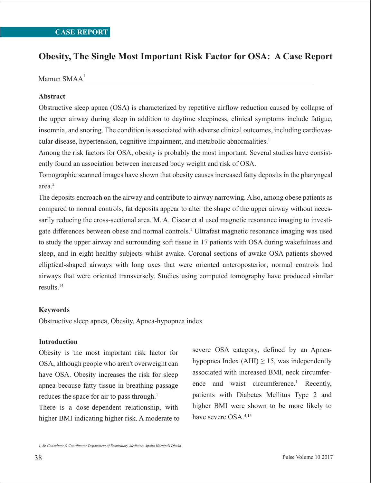# **Obesity, The Single Most Important Risk Factor for OSA: A Case Report**

Mamun SMAA<sup>1</sup>

# **Abstract**

Obstructive sleep apnea (OSA) is characterized by repetitive airflow reduction caused by collapse of the upper airway during sleep in addition to daytime sleepiness, clinical symptoms include fatigue, insomnia, and snoring. The condition is associated with adverse clinical outcomes, including cardiovascular disease, hypertension, cognitive impairment, and metabolic abnormalities.<sup>1</sup>

Among the risk factors for OSA, obesity is probably the most important. Several studies have consistently found an association between increased body weight and risk of OSA.

Tomographic scanned images have shown that obesity causes increased fatty deposits in the pharyngeal area.2

The deposits encroach on the airway and contribute to airway narrowing. Also, among obese patients as compared to normal controls, fat deposits appear to alter the shape of the upper airway without necessarily reducing the cross-sectional area. M. A. Ciscar et al used magnetic resonance imaging to investigate differences between obese and normal controls.2 Ultrafast magnetic resonance imaging was used to study the upper airway and surrounding soft tissue in 17 patients with OSA during wakefulness and sleep, and in eight healthy subjects whilst awake. Coronal sections of awake OSA patients showed elliptical-shaped airways with long axes that were oriented anteroposterior; normal controls had airways that were oriented transversely. Studies using computed tomography have produced similar results.14

### **Keywords**

Obstructive sleep apnea, Obesity, Apnea-hypopnea index

## **Introduction**

Obesity is the most important risk factor for OSA, although people who aren't overweight can have OSA. Obesity increases the risk for sleep apnea because fatty tissue in breathing passage reduces the space for air to pass through.<sup>1</sup>

There is a dose-dependent relationship, with higher BMI indicating higher risk. A moderate to

severe OSA category, defined by an Apneahypopnea Index (AHI)  $\geq$  15, was independently associated with increased BMI, neck circumference and waist circumference.<sup>1</sup> Recently, patients with Diabetes Mellitus Type 2 and higher BMI were shown to be more likely to have severe OSA.4,15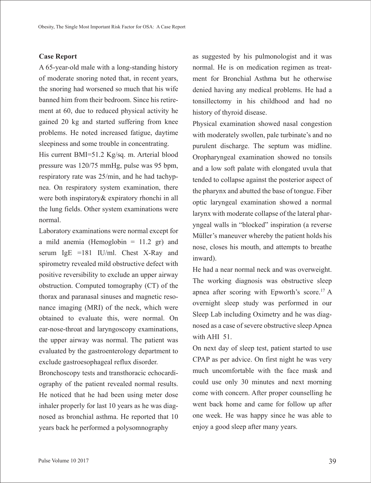#### **Case Report**

A 65-year-old male with a long-standing history of moderate snoring noted that, in recent years, the snoring had worsened so much that his wife banned him from their bedroom. Since his retirement at 60, due to reduced physical activity he gained 20 kg and started suffering from knee problems. He noted increased fatigue, daytime sleepiness and some trouble in concentrating.

His current BMI=51.2 Kg/sq. m. Arterial blood pressure was 120/75 mmHg, pulse was 95 bpm, respiratory rate was 25/min, and he had tachypnea. On respiratory system examination, there were both inspiratory& expiratory rhonchi in all the lung fields. Other system examinations were normal.

Laboratory examinations were normal except for a mild anemia (Hemoglobin  $= 11.2$  gr) and serum IgE =181 IU/ml. Chest X-Ray and spirometry revealed mild obstructive defect with positive reversibility to exclude an upper airway obstruction. Computed tomography (CT) of the thorax and paranasal sinuses and magnetic resonance imaging (MRI) of the neck, which were obtained to evaluate this, were normal. On ear-nose-throat and laryngoscopy examinations, the upper airway was normal. The patient was evaluated by the gastroenterology department to exclude gastroesophageal reflux disorder.

Bronchoscopy tests and transthoracic echocardiography of the patient revealed normal results. He noticed that he had been using meter dose inhaler properly for last 10 years as he was diagnosed as bronchial asthma. He reported that 10 years back he performed a polysomnography

as suggested by his pulmonologist and it was normal. He is on medication regimen as treatment for Bronchial Asthma but he otherwise denied having any medical problems. He had a tonsillectomy in his childhood and had no history of thyroid disease.

Physical examination showed nasal congestion with moderately swollen, pale turbinate's and no purulent discharge. The septum was midline. Oropharyngeal examination showed no tonsils and a low soft palate with elongated uvula that tended to collapse against the posterior aspect of the pharynx and abutted the base of tongue. Fiber optic laryngeal examination showed a normal larynx with moderate collapse of the lateral pharyngeal walls in "blocked" inspiration (a reverse Müller's maneuver whereby the patient holds his nose, closes his mouth, and attempts to breathe inward).

He had a near normal neck and was overweight. The working diagnosis was obstructive sleep apnea after scoring with Epworth's score.<sup>17</sup> A overnight sleep study was performed in our Sleep Lab including Oximetry and he was diagnosed as a case of severe obstructive sleep Apnea with AHI 51.

On next day of sleep test, patient started to use CPAP as per advice. On first night he was very much uncomfortable with the face mask and could use only 30 minutes and next morning come with concern. After proper counselling he went back home and came for follow up after one week. He was happy since he was able to enjoy a good sleep after many years.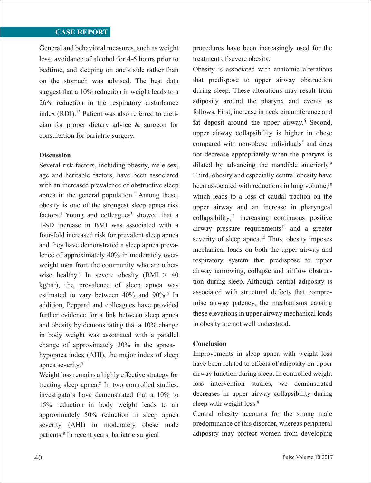# **CASE REPORT**

General and behavioral measures, such as weight loss, avoidance of alcohol for 4-6 hours prior to bedtime, and sleeping on one's side rather than on the stomach was advised. The best data suggest that a 10% reduction in weight leads to a 26% reduction in the respiratory disturbance index (RDI).<sup>13</sup> Patient was also referred to dietician for proper dietary advice & surgeon for consultation for bariatric surgery.

#### **Discussion**

Several risk factors, including obesity, male sex, age and heritable factors, have been associated with an increased prevalence of obstructive sleep apnea in the general population.<sup>1</sup> Among these, obesity is one of the strongest sleep apnea risk  $factors.<sup>1</sup>$  Young and colleagues<sup>3</sup> showed that a 1-SD increase in BMI was associated with a four-fold increased risk for prevalent sleep apnea and they have demonstrated a sleep apnea prevalence of approximately 40% in moderately overweight men from the community who are otherwise healthy.<sup>4</sup> In severe obesity (BMI  $> 40$  $kg/m<sup>2</sup>$ ), the prevalence of sleep apnea was estimated to vary between  $40\%$  and  $90\%$ .<sup>5</sup> In addition, Peppard and colleagues have provided further evidence for a link between sleep apnea and obesity by demonstrating that a 10% change in body weight was associated with a parallel change of approximately 30% in the apneahypopnea index (AHI), the major index of sleep apnea severity.<sup>5</sup>

Weight loss remains a highly effective strategy for treating sleep apnea.<sup>8</sup> In two controlled studies, investigators have demonstrated that a 10% to 15% reduction in body weight leads to an approximately 50% reduction in sleep apnea severity (AHI) in moderately obese male patients.8 In recent years, bariatric surgical

procedures have been increasingly used for the treatment of severe obesity.

Obesity is associated with anatomic alterations that predispose to upper airway obstruction during sleep. These alterations may result from adiposity around the pharynx and events as follows. First, increase in neck circumference and fat deposit around the upper airway.<sup>6</sup> Second, upper airway collapsibility is higher in obese compared with non-obese individuals<sup>8</sup> and does not decrease appropriately when the pharynx is dilated by advancing the mandible anteriorly.<sup>9</sup> Third, obesity and especially central obesity have been associated with reductions in lung volume. $10$ which leads to a loss of caudal traction on the upper airway and an increase in pharyngeal  $collapsibility, <sup>11</sup>$  increasing continuous positive airway pressure requirements<sup>12</sup> and a greater severity of sleep apnea.<sup>13</sup> Thus, obesity imposes mechanical loads on both the upper airway and respiratory system that predispose to upper airway narrowing, collapse and airflow obstruction during sleep. Although central adiposity is associated with structural defects that compromise airway patency, the mechanisms causing these elevations in upper airway mechanical loads in obesity are not well understood.

#### **Conclusion**

Improvements in sleep apnea with weight loss have been related to effects of adiposity on upper airway function during sleep. In controlled weight loss intervention studies, we demonstrated decreases in upper airway collapsibility during sleep with weight loss.<sup>8</sup>

Central obesity accounts for the strong male predominance of this disorder, whereas peripheral adiposity may protect women from developing